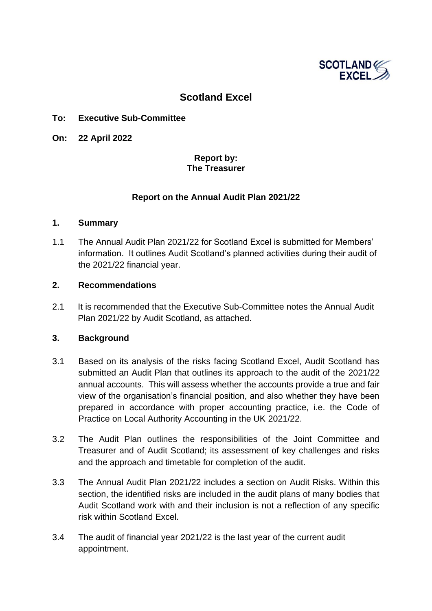

#### **Scotland Excel**

#### **To: Executive Sub-Committee**

**On: 22 April 2022**

#### **Report by: The Treasurer**

#### **Report on the Annual Audit Plan 2021/22**

#### **1. Summary**

1.1 The Annual Audit Plan 2021/22 for Scotland Excel is submitted for Members' information. It outlines Audit Scotland's planned activities during their audit of the 2021/22 financial year.

#### **2. Recommendations**

2.1 It is recommended that the Executive Sub-Committee notes the Annual Audit Plan 2021/22 by Audit Scotland, as attached.

#### **3. Background**

- 3.1 Based on its analysis of the risks facing Scotland Excel, Audit Scotland has submitted an Audit Plan that outlines its approach to the audit of the 2021/22 annual accounts. This will assess whether the accounts provide a true and fair view of the organisation's financial position, and also whether they have been prepared in accordance with proper accounting practice, i.e. the Code of Practice on Local Authority Accounting in the UK 2021/22.
- 3.2 The Audit Plan outlines the responsibilities of the Joint Committee and Treasurer and of Audit Scotland; its assessment of key challenges and risks and the approach and timetable for completion of the audit.
- 3.3 The Annual Audit Plan 2021/22 includes a section on Audit Risks. Within this section, the identified risks are included in the audit plans of many bodies that Audit Scotland work with and their inclusion is not a reflection of any specific risk within Scotland Excel.
- 3.4 The audit of financial year 2021/22 is the last year of the current audit appointment.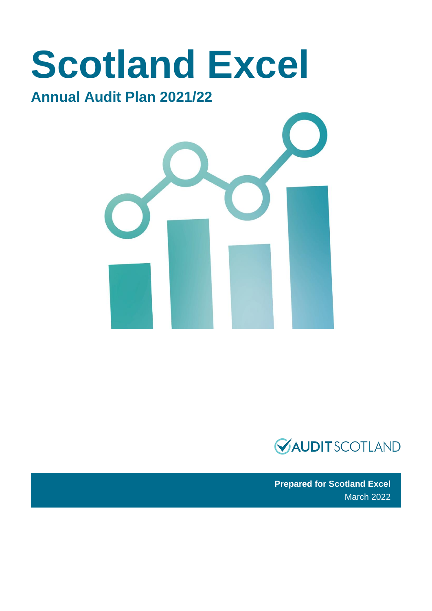# **Scotland Excel**

### **Annual Audit Plan 2021/22**





**Prepared for Scotland Excel** March 2022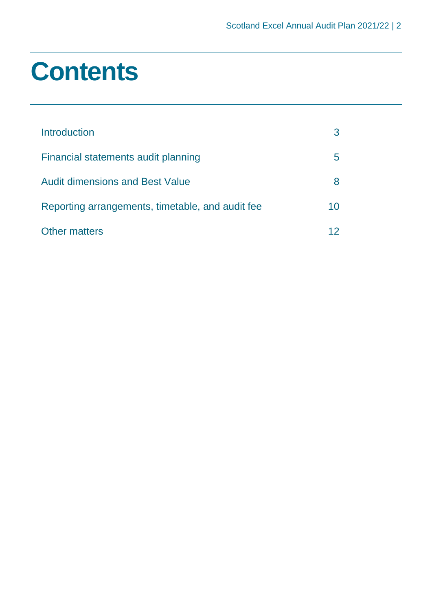### **Contents**

| Introduction                                     |    |
|--------------------------------------------------|----|
| Financial statements audit planning              | h  |
| <b>Audit dimensions and Best Value</b>           |    |
| Reporting arrangements, timetable, and audit fee | 10 |
| <b>Other matters</b>                             |    |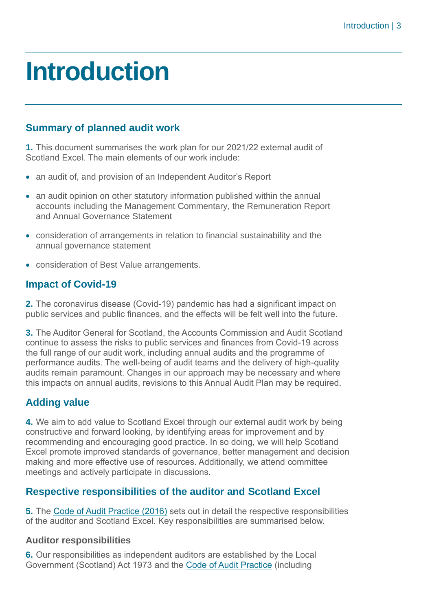### <span id="page-3-0"></span>**Introduction**

#### **Summary of planned audit work**

**1.** This document summarises the work plan for our 2021/22 external audit of Scotland Excel. The main elements of our work include:

- an audit of, and provision of an Independent Auditor's Report
- an audit opinion on other statutory information published within the annual accounts including the Management Commentary, the Remuneration Report and Annual Governance Statement
- consideration of arrangements in relation to financial sustainability and the annual governance statement
- consideration of Best Value arrangements.

#### **Impact of Covid-19**

**2.** The coronavirus disease (Covid-19) pandemic has had a significant impact on public services and public finances, and the effects will be felt well into the future.

**3.** The Auditor General for Scotland, the Accounts Commission and Audit Scotland continue to assess the risks to public services and finances from Covid-19 across the full range of our audit work, including annual audits and the programme of performance audits. The well-being of audit teams and the delivery of high-quality audits remain paramount. Changes in our approach may be necessary and where this impacts on annual audits, revisions to this Annual Audit Plan may be required.

#### **Adding value**

**4.** We aim to add value to Scotland Excel through our external audit work by being constructive and forward looking, by identifying areas for improvement and by recommending and encouraging good practice. In so doing, we will help Scotland Excel promote improved standards of governance, better management and decision making and more effective use of resources. Additionally, we attend committee meetings and actively participate in discussions.

#### **Respective responsibilities of the auditor and Scotland Excel**

**5.** The [Code of Audit Practice \(2016\)](https://www.audit-scotland.gov.uk/uploads/docs/report/2016/code_audit_practice_16_0.pdf) sets out in detail the respective responsibilities of the auditor and Scotland Excel. Key responsibilities are summarised below.

#### **Auditor responsibilities**

**6.** Our responsibilities as independent auditors are established by the Local Government (Scotland) Act 1973 and the [Code of Audit Practice](https://www.audit-scotland.gov.uk/uploads/docs/report/2016/code_audit_practice_16_0.pdf) (including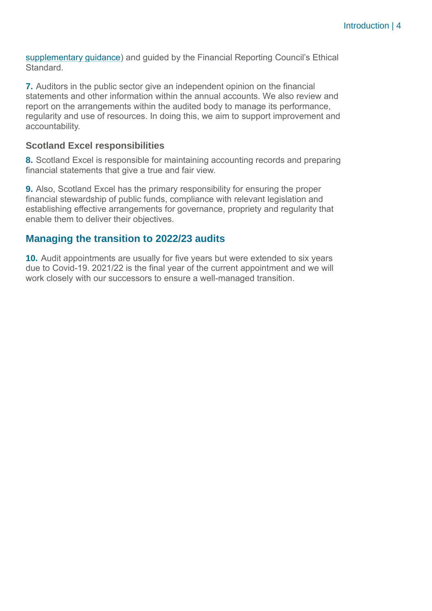[supplementary guidance\)](https://www.audit-scotland.gov.uk/uploads/docs/um/code_audit_guidance_16_supp.pdf) and guided by the Financial Reporting Council's Ethical Standard.

**7.** Auditors in the public sector give an independent opinion on the financial statements and other information within the annual accounts. We also review and report on the arrangements within the audited body to manage its performance, regularity and use of resources. In doing this, we aim to support improvement and accountability.

#### **Scotland Excel responsibilities**

**8.** Scotland Excel is responsible for maintaining accounting records and preparing financial statements that give a true and fair view.

**9.** Also, Scotland Excel has the primary responsibility for ensuring the proper financial stewardship of public funds, compliance with relevant legislation and establishing effective arrangements for governance, propriety and regularity that enable them to deliver their objectives.

#### **Managing the transition to 2022/23 audits**

**10.** Audit appointments are usually for five years but were extended to six years due to Covid-19. 2021/22 is the final year of the current appointment and we will work closely with our successors to ensure a well-managed transition.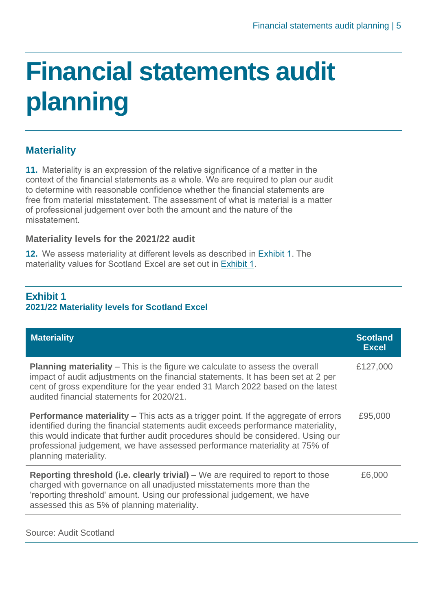## <span id="page-5-0"></span>**Financial statements audit planning**

#### **Materiality**

**11.** Materiality is an expression of the relative significance of a matter in the context of the financial statements as a whole. We are required to plan our audit to determine with reasonable confidence whether the financial statements are free from material misstatement. The assessment of what is material is a matter of professional judgement over both the amount and the nature of the misstatement.

#### **Materiality levels for the 2021/22 audit**

**12.** We assess materiality at different levels as described in [Exhibit 1.](#page-5-1) The materiality values for Scotland Excel are set out in [Exhibit 1.](#page-5-1)

#### <span id="page-5-1"></span>**Exhibit 1 2021/22 Materiality levels for Scotland Excel**

| <b>Materiality</b>                                                                                                                                                                                                                                                                                                                                                         | <b>Scotland</b><br><b>Excel</b> |
|----------------------------------------------------------------------------------------------------------------------------------------------------------------------------------------------------------------------------------------------------------------------------------------------------------------------------------------------------------------------------|---------------------------------|
| <b>Planning materiality</b> – This is the figure we calculate to assess the overall<br>impact of audit adjustments on the financial statements. It has been set at 2 per<br>cent of gross expenditure for the year ended 31 March 2022 based on the latest<br>audited financial statements for 2020/21.                                                                    | £127,000                        |
| <b>Performance materiality</b> – This acts as a trigger point. If the aggregate of errors<br>identified during the financial statements audit exceeds performance materiality,<br>this would indicate that further audit procedures should be considered. Using our<br>professional judgement, we have assessed performance materiality at 75% of<br>planning materiality. | £95,000                         |
| <b>Reporting threshold (i.e. clearly trivial)</b> – We are required to report to those<br>charged with governance on all unadjusted misstatements more than the<br>'reporting threshold' amount. Using our professional judgement, we have<br>assessed this as 5% of planning materiality.                                                                                 | £6,000                          |

Source: Audit Scotland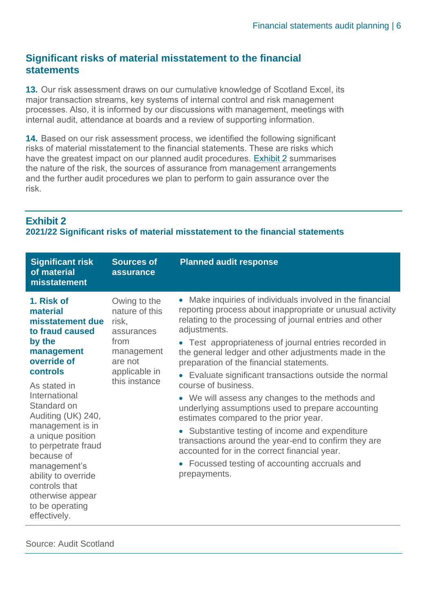#### **Significant risks of material misstatement to the financial statements**

**13.** Our risk assessment draws on our cumulative knowledge of Scotland Excel, its major transaction streams, key systems of internal control and risk management processes. Also, it is informed by our discussions with management, meetings with internal audit, attendance at boards and a review of supporting information.

**14.** Based on our risk assessment process, we identified the following significant risks of material misstatement to the financial statements. These are risks which have the greatest impact on our planned audit procedures. [Exhibit 2](#page-6-0) summarises the nature of the risk, the sources of assurance from management arrangements and the further audit procedures we plan to perform to gain assurance over the risk.

#### <span id="page-6-0"></span>**Exhibit 2**

#### **2021/22 Significant risks of material misstatement to the financial statements**

| <b>Significant risk</b><br>of material<br>misstatement                                                                                                                                                                                                                                                                                                                              | <b>Sources of</b><br>assurance                                                                                           | <b>Planned audit response</b>                                                                                                                                                                                                                                                                                                                                                                                                                                                                                                                                                                                                                                                                                                                                                                                            |
|-------------------------------------------------------------------------------------------------------------------------------------------------------------------------------------------------------------------------------------------------------------------------------------------------------------------------------------------------------------------------------------|--------------------------------------------------------------------------------------------------------------------------|--------------------------------------------------------------------------------------------------------------------------------------------------------------------------------------------------------------------------------------------------------------------------------------------------------------------------------------------------------------------------------------------------------------------------------------------------------------------------------------------------------------------------------------------------------------------------------------------------------------------------------------------------------------------------------------------------------------------------------------------------------------------------------------------------------------------------|
| 1. Risk of<br>material<br>misstatement due<br>to fraud caused<br>by the<br>management<br>override of<br>controls<br>As stated in<br>International<br>Standard on<br>Auditing (UK) 240,<br>management is in<br>a unique position<br>to perpetrate fraud<br>because of<br>management's<br>ability to override<br>controls that<br>otherwise appear<br>to be operating<br>effectively. | Owing to the<br>nature of this<br>risk,<br>assurances<br>from<br>management<br>are not<br>applicable in<br>this instance | • Make inquiries of individuals involved in the financial<br>reporting process about inappropriate or unusual activity<br>relating to the processing of journal entries and other<br>adjustments.<br>• Test appropriateness of journal entries recorded in<br>the general ledger and other adjustments made in the<br>preparation of the financial statements.<br>Evaluate significant transactions outside the normal<br>course of business.<br>• We will assess any changes to the methods and<br>underlying assumptions used to prepare accounting<br>estimates compared to the prior year.<br>• Substantive testing of income and expenditure<br>transactions around the year-end to confirm they are<br>accounted for in the correct financial year.<br>Focussed testing of accounting accruals and<br>prepayments. |

Source: Audit Scotland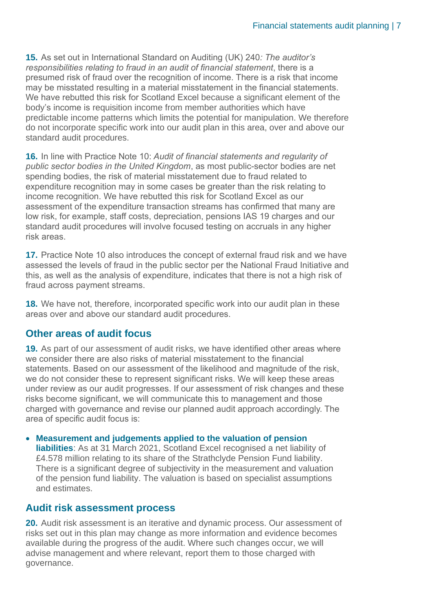**15.** As set out in International Standard on Auditing (UK) 240*: The auditor's responsibilities relating to fraud in an audit of financial statement*, there is a presumed risk of fraud over the recognition of income. There is a risk that income may be misstated resulting in a material misstatement in the financial statements. We have rebutted this risk for Scotland Excel because a significant element of the body's income is requisition income from member authorities which have predictable income patterns which limits the potential for manipulation. We therefore do not incorporate specific work into our audit plan in this area, over and above our standard audit procedures.

**16.** In line with Practice Note 10: *Audit of financial statements and regularity of public sector bodies in the United Kingdom*, as most public-sector bodies are net spending bodies, the risk of material misstatement due to fraud related to expenditure recognition may in some cases be greater than the risk relating to income recognition. We have rebutted this risk for Scotland Excel as our assessment of the expenditure transaction streams has confirmed that many are low risk, for example, staff costs, depreciation, pensions IAS 19 charges and our standard audit procedures will involve focused testing on accruals in any higher risk areas.

**17.** Practice Note 10 also introduces the concept of external fraud risk and we have assessed the levels of fraud in the public sector per the National Fraud Initiative and this, as well as the analysis of expenditure, indicates that there is not a high risk of fraud across payment streams.

**18.** We have not, therefore, incorporated specific work into our audit plan in these areas over and above our standard audit procedures.

#### **Other areas of audit focus**

**19.** As part of our assessment of audit risks, we have identified other areas where we consider there are also risks of material misstatement to the financial statements. Based on our assessment of the likelihood and magnitude of the risk, we do not consider these to represent significant risks. We will keep these areas under review as our audit progresses. If our assessment of risk changes and these risks become significant, we will communicate this to management and those charged with governance and revise our planned audit approach accordingly. The area of specific audit focus is:

#### • **Measurement and judgements applied to the valuation of pension**

**liabilities**: As at 31 March 2021, Scotland Excel recognised a net liability of £4.578 million relating to its share of the Strathclyde Pension Fund liability. There is a significant degree of subjectivity in the measurement and valuation of the pension fund liability. The valuation is based on specialist assumptions and estimates.

#### **Audit risk assessment process**

**20.** Audit risk assessment is an iterative and dynamic process. Our assessment of risks set out in this plan may change as more information and evidence becomes available during the progress of the audit. Where such changes occur, we will advise management and where relevant, report them to those charged with governance.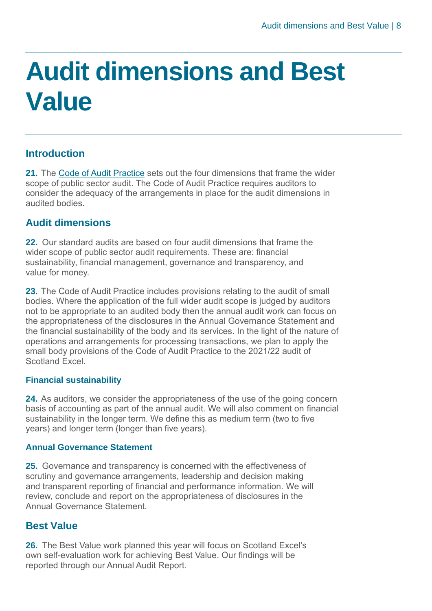## <span id="page-8-0"></span>**Audit dimensions and Best Value**

#### **Introduction**

**21.** The [Code of Audit Practice](https://www.audit-scotland.gov.uk/uploads/docs/report/2016/code_audit_practice_16_0.pdf) sets out the four dimensions that frame the wider scope of public sector audit. The Code of Audit Practice requires auditors to consider the adequacy of the arrangements in place for the audit dimensions in audited bodies.

#### **Audit dimensions**

**22.** Our standard audits are based on four audit dimensions that frame the wider scope of public sector audit requirements. These are: financial sustainability, financial management, governance and transparency, and value for money.

**23.** The Code of Audit Practice includes provisions relating to the audit of small bodies. Where the application of the full wider audit scope is judged by auditors not to be appropriate to an audited body then the annual audit work can focus on the appropriateness of the disclosures in the Annual Governance Statement and the financial sustainability of the body and its services. In the light of the nature of operations and arrangements for processing transactions, we plan to apply the small body provisions of the Code of Audit Practice to the 2021/22 audit of Scotland Excel.

#### **Financial sustainability**

**24.** As auditors, we consider the appropriateness of the use of the going concern basis of accounting as part of the annual audit. We will also comment on financial sustainability in the longer term. We define this as medium term (two to five years) and longer term (longer than five years).

#### **Annual Governance Statement**

**25.** Governance and transparency is concerned with the effectiveness of scrutiny and governance arrangements, leadership and decision making and transparent reporting of financial and performance information. We will review, conclude and report on the appropriateness of disclosures in the Annual Governance Statement.

#### **Best Value**

**26.** The Best Value work planned this year will focus on Scotland Excel's own self-evaluation work for achieving Best Value. Our findings will be reported through our Annual Audit Report.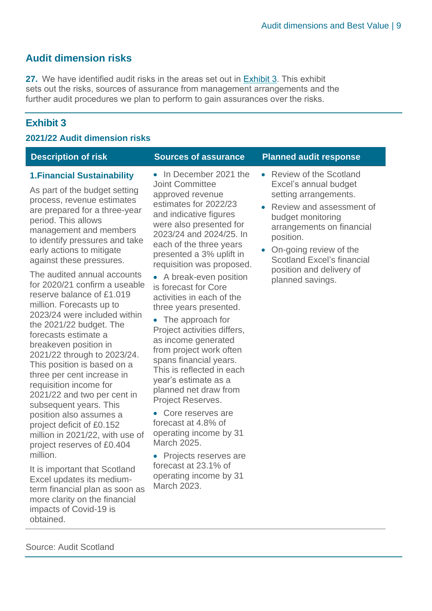#### **Audit dimension risks**

**27.** We have identified audit risks in the areas set out in [Exhibit 3.](#page-9-0) This exhibit sets out the risks, sources of assurance from management arrangements and the further audit procedures we plan to perform to gain assurances over the risks.

#### <span id="page-9-0"></span>**Exhibit 3**

#### **2021/22 Audit dimension risks**

#### **1.Financial Sustainability**

As part of the budget setting process, revenue estimates are prepared for a three-year period. This allows management and members to identify pressures and take early actions to mitigate against these pressures.

The audited annual accounts for 2020/21 confirm a useable reserve balance of £1.019 million. Forecasts up to 2023/24 were included within the 2021/22 budget. The forecasts estimate a breakeven position in 2021/22 through to 2023/24. This position is based on a three per cent increase in requisition income for 2021/22 and two per cent in subsequent years. This position also assumes a project deficit of £0.152 million in 2021/22, with use of project reserves of £0.404 million.

It is important that Scotland Excel updates its mediumterm financial plan as soon as more clarity on the financial impacts of Covid-19 is obtained.

• In December 2021 the Joint Committee approved revenue estimates for 2022/23 and indicative figures were also presented for 2023/24 and 2024/25. In each of the three years presented a 3% uplift in requisition was proposed.

• A break-even position is forecast for Core activities in each of the three years presented.

- The approach for Project activities differs, as income generated from project work often spans financial years. This is reflected in each year's estimate as a planned net draw from Project Reserves.
- Core reserves are forecast at 4.8% of operating income by 31 March 2025.

• Projects reserves are forecast at 23.1% of operating income by 31 March 2023.

#### **Description of risk Sources of assurance Planned audit response**

- Review of the Scotland Excel's annual budget setting arrangements.
- Review and assessment of budget monitoring arrangements on financial position.
- On-going review of the Scotland Excel's financial position and delivery of planned savings.

Source: Audit Scotland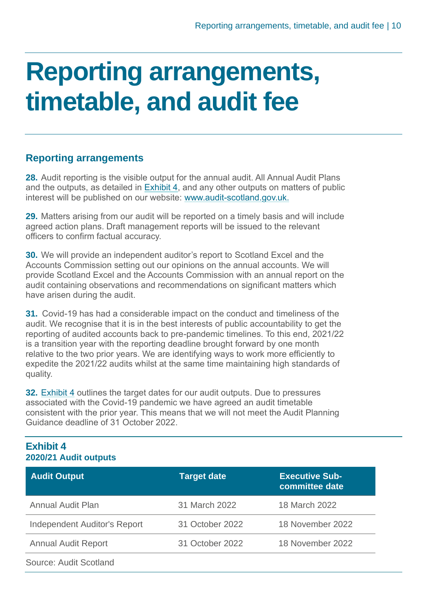### <span id="page-10-0"></span>**Reporting arrangements, timetable, and audit fee**

#### **Reporting arrangements**

**28.** Audit reporting is the visible output for the annual audit. All Annual Audit Plans and the outputs, as detailed in [Exhibit 4,](#page-10-1) and any other outputs on matters of public interest will be published on our website: [www.audit-scotland.gov.uk.](http://www.audit-scotland.gov.uk./)

**29.** Matters arising from our audit will be reported on a timely basis and will include agreed action plans. Draft management reports will be issued to the relevant officers to confirm factual accuracy.

**30.** We will provide an independent auditor's report to Scotland Excel and the Accounts Commission setting out our opinions on the annual accounts. We will provide Scotland Excel and the Accounts Commission with an annual report on the audit containing observations and recommendations on significant matters which have arisen during the audit.

**31.** Covid-19 has had a considerable impact on the conduct and timeliness of the audit. We recognise that it is in the best interests of public accountability to get the reporting of audited accounts back to pre-pandemic timelines. To this end, 2021/22 is a transition year with the reporting deadline brought forward by one month relative to the two prior years. We are identifying ways to work more efficiently to expedite the 2021/22 audits whilst at the same time maintaining high standards of quality.

**32.** [Exhibit 4](#page-10-1) outlines the target dates for our audit outputs. Due to pressures associated with the Covid-19 pandemic we have agreed an audit timetable consistent with the prior year. This means that we will not meet the Audit Planning Guidance deadline of 31 October 2022.

#### <span id="page-10-1"></span>**Exhibit 4 2020/21 Audit outputs**

| <b>Audit Output</b>                 | <b>Target date</b> | <b>Executive Sub-</b><br>committee date |
|-------------------------------------|--------------------|-----------------------------------------|
| Annual Audit Plan                   | 31 March 2022      | 18 March 2022                           |
| <b>Independent Auditor's Report</b> | 31 October 2022    | 18 November 2022                        |
| <b>Annual Audit Report</b>          | 31 October 2022    | 18 November 2022                        |
| Source: Audit Scotland              |                    |                                         |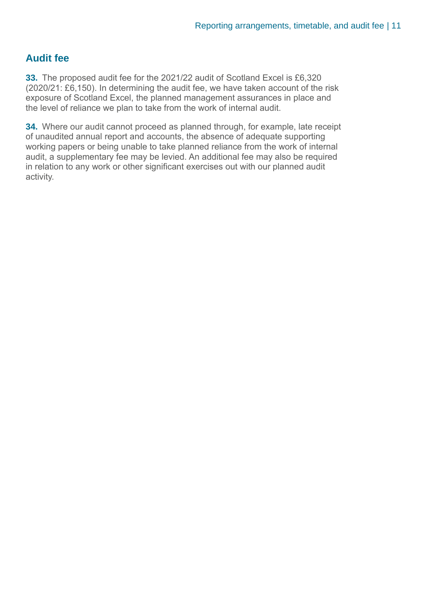#### **Audit fee**

**33.** The proposed audit fee for the 2021/22 audit of Scotland Excel is £6,320 (2020/21: £6,150). In determining the audit fee, we have taken account of the risk exposure of Scotland Excel, the planned management assurances in place and the level of reliance we plan to take from the work of internal audit.

**34.** Where our audit cannot proceed as planned through, for example, late receipt of unaudited annual report and accounts, the absence of adequate supporting working papers or being unable to take planned reliance from the work of internal audit, a supplementary fee may be levied. An additional fee may also be required in relation to any work or other significant exercises out with our planned audit activity.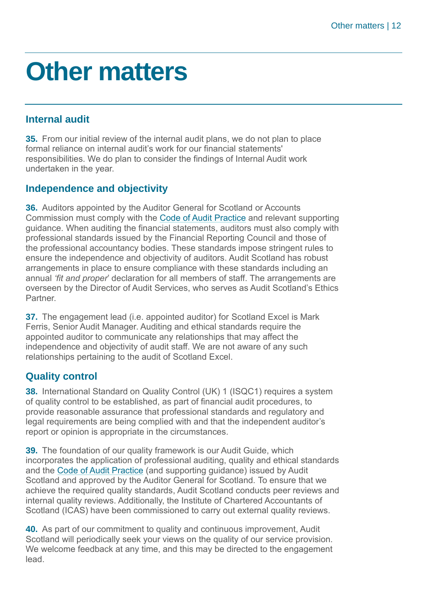### <span id="page-12-0"></span>**Other matters**

#### **Internal audit**

**35.** From our initial review of the internal audit plans, we do not plan to place formal reliance on internal audit's work for our financial statements' responsibilities. We do plan to consider the findings of Internal Audit work undertaken in the year.

#### **Independence and objectivity**

**36.** Auditors appointed by the Auditor General for Scotland or Accounts Commission must comply with the [Code of Audit Practice](https://www.audit-scotland.gov.uk/uploads/docs/report/2016/code_audit_practice_16_0.pdf) and relevant supporting guidance. When auditing the financial statements, auditors must also comply with professional standards issued by the Financial Reporting Council and those of the professional accountancy bodies. These standards impose stringent rules to ensure the independence and objectivity of auditors. Audit Scotland has robust arrangements in place to ensure compliance with these standards including an annual *'fit and proper*' declaration for all members of staff. The arrangements are overseen by the Director of Audit Services, who serves as Audit Scotland's Ethics **Partner** 

**37.** The engagement lead (i.e. appointed auditor) for Scotland Excel is Mark Ferris, Senior Audit Manager. Auditing and ethical standards require the appointed auditor to communicate any relationships that may affect the independence and objectivity of audit staff. We are not aware of any such relationships pertaining to the audit of Scotland Excel.

#### **Quality control**

**38.** International Standard on Quality Control (UK) 1 (ISQC1) requires a system of quality control to be established, as part of financial audit procedures, to provide reasonable assurance that professional standards and regulatory and legal requirements are being complied with and that the independent auditor's report or opinion is appropriate in the circumstances.

**39.** The foundation of our quality framework is our Audit Guide, which incorporates the application of professional auditing, quality and ethical standards and the Code of Audit Practice (and supporting guidance) issued by Audit Scotland and approved by the Auditor General for Scotland. To ensure that we achieve the required quality standards, Audit Scotland conducts peer reviews and internal quality reviews. Additionally, the Institute of Chartered Accountants of Scotland (ICAS) have been commissioned to carry out external quality reviews.

**40.** As part of our commitment to quality and continuous improvement, Audit Scotland will periodically seek your views on the quality of our service provision. We welcome feedback at any time, and this may be directed to the engagement lead.